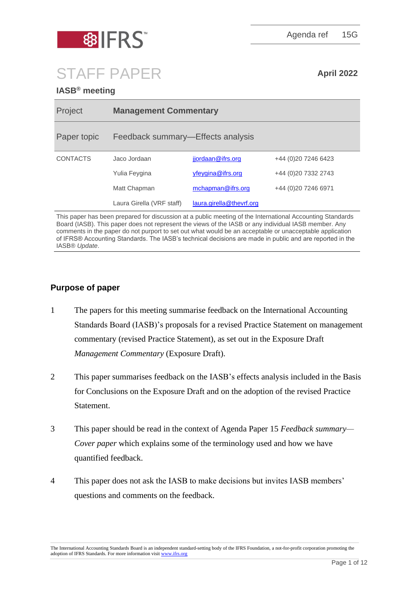

Agenda ref 15G

# STAFF PAPER **April 2022**

# **IASB® meeting**

| Project         | <b>Management Commentary</b>      |                          |                      |
|-----------------|-----------------------------------|--------------------------|----------------------|
| Paper topic     | Feedback summary—Effects analysis |                          |                      |
| <b>CONTACTS</b> | Jaco Jordaan                      | jjordaan@ifrs.org        | +44 (0) 20 7246 6423 |
|                 | Yulia Feygina                     | yfeygina@ifrs.org        | +44 (0)20 7332 2743  |
|                 | Matt Chapman                      | mchapman@ifrs.org        | +44 (0)20 7246 6971  |
|                 | Laura Girella (VRF staff)         | laura.girella@thevrf.org |                      |

This paper has been prepared for discussion at a public meeting of the International Accounting Standards Board (IASB). This paper does not represent the views of the IASB or any individual IASB member. Any comments in the paper do not purport to set out what would be an acceptable or unacceptable application of IFRS® Accounting Standards. The IASB's technical decisions are made in public and are reported in the IASB® *Update*.

# **Purpose of paper**

- 1 The papers for this meeting summarise feedback on the International Accounting Standards Board (IASB)'s proposals for a revised Practice Statement on management commentary (revised Practice Statement), as set out in the Exposure Draft *Management Commentary* (Exposure Draft).
- 2 This paper summarises feedback on the IASB's effects analysis included in the Basis for Conclusions on the Exposure Draft and on the adoption of the revised Practice Statement.
- 3 This paper should be read in the context of Agenda Paper 15 *Feedback summary— Cover paper* which explains some of the terminology used and how we have quantified feedback.
- 4 This paper does not ask the IASB to make decisions but invites IASB members' questions and comments on the feedback.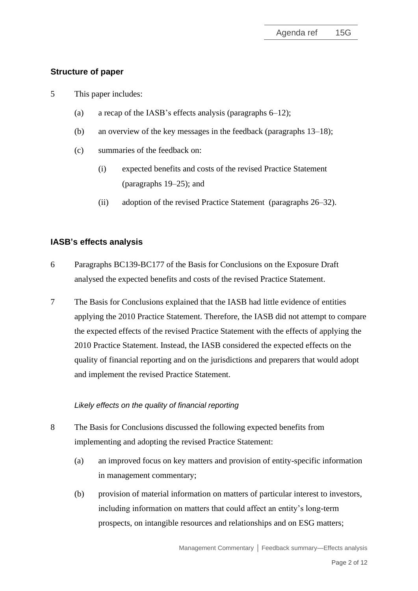# **Structure of paper**

- 5 This paper includes:
	- (a) a recap of the IASB's effects analysis (paragraphs 6–12);
	- (b) an overview of the key messages in the feedback (paragraphs 13–18);
	- (c) summaries of the feedback on:
		- (i) expected benefits and costs of the revised Practice Statement (paragraphs 19–25); and
		- (ii) adoption of the revised Practice Statement (paragraphs 26–32).

# **IASB's effects analysis**

- 6 Paragraphs BC139-BC177 of the Basis for Conclusions on the Exposure Draft analysed the expected benefits and costs of the revised Practice Statement.
- 7 The Basis for Conclusions explained that the IASB had little evidence of entities applying the 2010 Practice Statement. Therefore, the IASB did not attempt to compare the expected effects of the revised Practice Statement with the effects of applying the 2010 Practice Statement. Instead, the IASB considered the expected effects on the quality of financial reporting and on the jurisdictions and preparers that would adopt and implement the revised Practice Statement.

## *Likely effects on the quality of financial reporting*

- 8 The Basis for Conclusions discussed the following expected benefits from implementing and adopting the revised Practice Statement:
	- (a) an improved focus on key matters and provision of entity-specific information in management commentary;
	- (b) provision of material information on matters of particular interest to investors, including information on matters that could affect an entity's long-term prospects, on intangible resources and relationships and on ESG matters;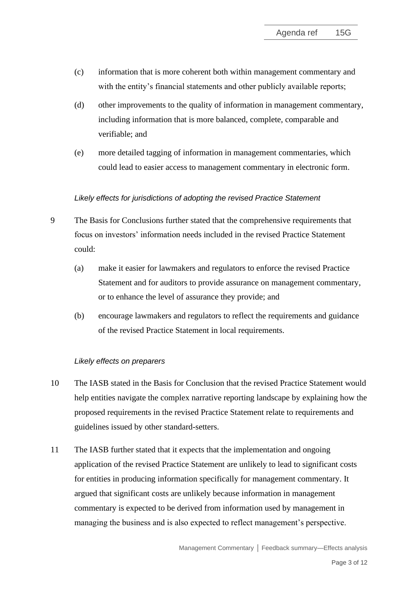- (c) information that is more coherent both within management commentary and with the entity's financial statements and other publicly available reports;
- (d) other improvements to the quality of information in management commentary, including information that is more balanced, complete, comparable and verifiable; and
- (e) more detailed tagging of information in management commentaries, which could lead to easier access to management commentary in electronic form.

## *Likely effects for jurisdictions of adopting the revised Practice Statement*

- 9 The Basis for Conclusions further stated that the comprehensive requirements that focus on investors' information needs included in the revised Practice Statement could:
	- (a) make it easier for lawmakers and regulators to enforce the revised Practice Statement and for auditors to provide assurance on management commentary, or to enhance the level of assurance they provide; and
	- (b) encourage lawmakers and regulators to reflect the requirements and guidance of the revised Practice Statement in local requirements.

## *Likely effects on preparers*

- 10 The IASB stated in the Basis for Conclusion that the revised Practice Statement would help entities navigate the complex narrative reporting landscape by explaining how the proposed requirements in the revised Practice Statement relate to requirements and guidelines issued by other standard-setters.
- 11 The IASB further stated that it expects that the implementation and ongoing application of the revised Practice Statement are unlikely to lead to significant costs for entities in producing information specifically for management commentary. It argued that significant costs are unlikely because information in management commentary is expected to be derived from information used by management in managing the business and is also expected to reflect management's perspective.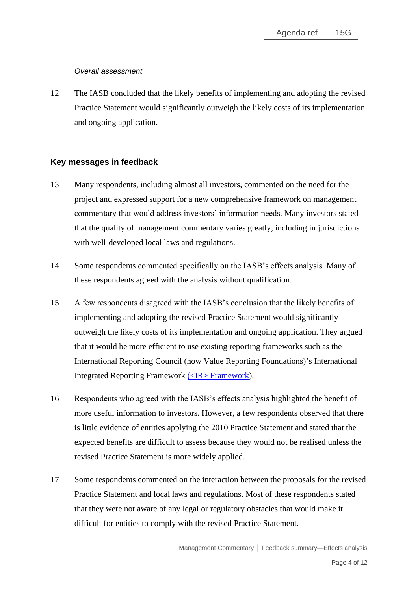## *Overall assessment*

12 The IASB concluded that the likely benefits of implementing and adopting the revised Practice Statement would significantly outweigh the likely costs of its implementation and ongoing application.

## **Key messages in feedback**

- 13 Many respondents, including almost all investors, commented on the need for the project and expressed support for a new comprehensive framework on management commentary that would address investors' information needs. Many investors stated that the quality of management commentary varies greatly, including in jurisdictions with well-developed local laws and regulations.
- 14 Some respondents commented specifically on the IASB's effects analysis. Many of these respondents agreed with the analysis without qualification.
- 15 A few respondents disagreed with the IASB's conclusion that the likely benefits of implementing and adopting the revised Practice Statement would significantly outweigh the likely costs of its implementation and ongoing application. They argued that it would be more efficient to use existing reporting frameworks such as the International Reporting Council (now Value Reporting Foundations)'s International Integrated Reporting Framework [\(<IR> Framework\)](https://www.integratedreporting.org/wp-content/uploads/2021/01/InternationalIntegratedReportingFramework.pdf).
- 16 Respondents who agreed with the IASB's effects analysis highlighted the benefit of more useful information to investors. However, a few respondents observed that there is little evidence of entities applying the 2010 Practice Statement and stated that the expected benefits are difficult to assess because they would not be realised unless the revised Practice Statement is more widely applied.
- 17 Some respondents commented on the interaction between the proposals for the revised Practice Statement and local laws and regulations. Most of these respondents stated that they were not aware of any legal or regulatory obstacles that would make it difficult for entities to comply with the revised Practice Statement.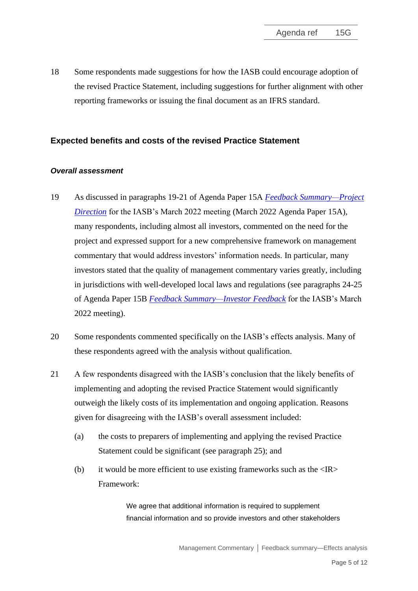18 Some respondents made suggestions for how the IASB could encourage adoption of the revised Practice Statement, including suggestions for further alignment with other reporting frameworks or issuing the final document as an IFRS standard.

## **Expected benefits and costs of the revised Practice Statement**

## *Overall assessment*

- 19 As discussed in paragraphs 19-21 of Agenda Paper 15A *[Feedback Summary—Project](https://www.ifrs.org/content/dam/ifrs/meetings/2022/march/iasb/ap15a-feedback-summary-project-direction.pdf)  [Direction](https://www.ifrs.org/content/dam/ifrs/meetings/2022/march/iasb/ap15a-feedback-summary-project-direction.pdf)* for the IASB's March 2022 meeting (March 2022 Agenda Paper 15A)*,*  many respondents, including almost all investors, commented on the need for the project and expressed support for a new comprehensive framework on management commentary that would address investors' information needs. In particular, many investors stated that the quality of management commentary varies greatly, including in jurisdictions with well-developed local laws and regulations (see paragraphs 24-25 of Agenda Paper 15B *[Feedback Summary—Investor Feedback](https://www.ifrs.org/content/dam/ifrs/meetings/2022/march/iasb/ap15b-investor-feedback.pdf)* for the IASB's March 2022 meeting).
- 20 Some respondents commented specifically on the IASB's effects analysis. Many of these respondents agreed with the analysis without qualification.
- 21 A few respondents disagreed with the IASB's conclusion that the likely benefits of implementing and adopting the revised Practice Statement would significantly outweigh the likely costs of its implementation and ongoing application. Reasons given for disagreeing with the IASB's overall assessment included:
	- (a) the costs to preparers of implementing and applying the revised Practice Statement could be significant (see paragraph 25); and
	- (b) it would be more efficient to use existing frameworks such as the  $\langle IR \rangle$ Framework:

We agree that additional information is required to supplement financial information and so provide investors and other stakeholders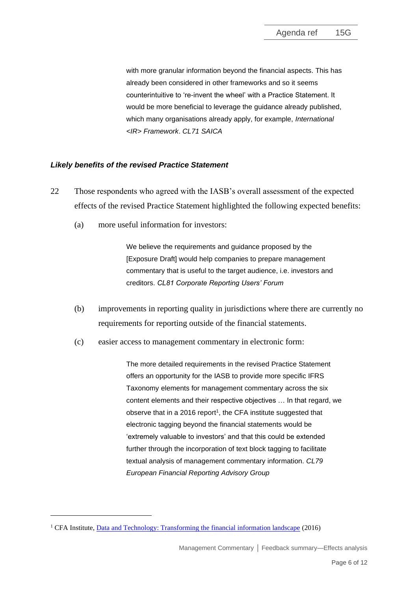with more granular information beyond the financial aspects. This has already been considered in other frameworks and so it seems counterintuitive to 're-invent the wheel' with a Practice Statement. It would be more beneficial to leverage the guidance already published, which many organisations already apply, for example, *International <IR> Framework*. *CL71 SAICA*

#### *Likely benefits of the revised Practice Statement*

- 22 Those respondents who agreed with the IASB's overall assessment of the expected effects of the revised Practice Statement highlighted the following expected benefits:
	- (a) more useful information for investors:

We believe the requirements and guidance proposed by the [Exposure Draft] would help companies to prepare management commentary that is useful to the target audience, i.e. investors and creditors. *CL81 Corporate Reporting Users' Forum*

- (b) improvements in reporting quality in jurisdictions where there are currently no requirements for reporting outside of the financial statements.
- (c) easier access to management commentary in electronic form:

The more detailed requirements in the revised Practice Statement offers an opportunity for the IASB to provide more specific IFRS Taxonomy elements for management commentary across the six content elements and their respective objectives … In that regard, we observe that in a 2016 report<sup>1</sup>, the CFA institute suggested that electronic tagging beyond the financial statements would be 'extremely valuable to investors' and that this could be extended further through the incorporation of text block tagging to facilitate textual analysis of management commentary information. *CL79 European Financial Reporting Advisory Group*

<sup>&</sup>lt;sup>1</sup> CFA Institute, <u>Data and Technology: Transforming the financial information landscape</u> (2016)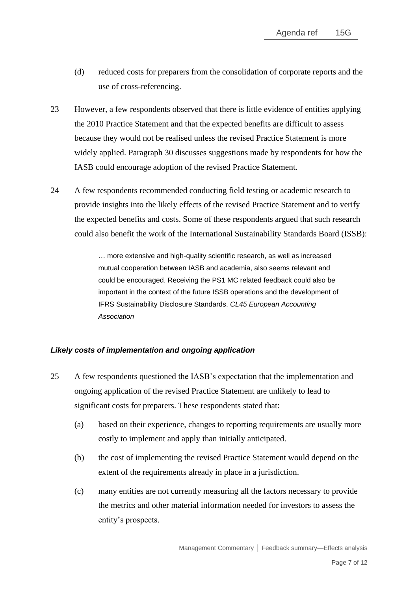- (d) reduced costs for preparers from the consolidation of corporate reports and the use of cross-referencing.
- 23 However, a few respondents observed that there is little evidence of entities applying the 2010 Practice Statement and that the expected benefits are difficult to assess because they would not be realised unless the revised Practice Statement is more widely applied. Paragraph 30 discusses suggestions made by respondents for how the IASB could encourage adoption of the revised Practice Statement.
- 24 A few respondents recommended conducting field testing or academic research to provide insights into the likely effects of the revised Practice Statement and to verify the expected benefits and costs. Some of these respondents argued that such research could also benefit the work of the International Sustainability Standards Board (ISSB):

… more extensive and high-quality scientific research, as well as increased mutual cooperation between IASB and academia, also seems relevant and could be encouraged. Receiving the PS1 MC related feedback could also be important in the context of the future ISSB operations and the development of IFRS Sustainability Disclosure Standards. *CL45 European Accounting Association*

## *Likely costs of implementation and ongoing application*

- 25 A few respondents questioned the IASB's expectation that the implementation and ongoing application of the revised Practice Statement are unlikely to lead to significant costs for preparers. These respondents stated that:
	- (a) based on their experience, changes to reporting requirements are usually more costly to implement and apply than initially anticipated.
	- (b) the cost of implementing the revised Practice Statement would depend on the extent of the requirements already in place in a jurisdiction.
	- (c) many entities are not currently measuring all the factors necessary to provide the metrics and other material information needed for investors to assess the entity's prospects.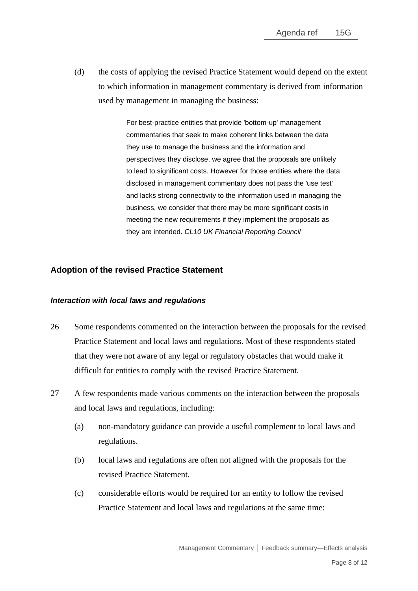(d) the costs of applying the revised Practice Statement would depend on the extent to which information in management commentary is derived from information used by management in managing the business:

> For best-practice entities that provide 'bottom-up' management commentaries that seek to make coherent links between the data they use to manage the business and the information and perspectives they disclose, we agree that the proposals are unlikely to lead to significant costs. However for those entities where the data disclosed in management commentary does not pass the 'use test' and lacks strong connectivity to the information used in managing the business, we consider that there may be more significant costs in meeting the new requirements if they implement the proposals as they are intended. *CL10 UK Financial Reporting Council*

## **Adoption of the revised Practice Statement**

#### *Interaction with local laws and regulations*

- 26 Some respondents commented on the interaction between the proposals for the revised Practice Statement and local laws and regulations. Most of these respondents stated that they were not aware of any legal or regulatory obstacles that would make it difficult for entities to comply with the revised Practice Statement.
- 27 A few respondents made various comments on the interaction between the proposals and local laws and regulations, including:
	- (a) non-mandatory guidance can provide a useful complement to local laws and regulations.
	- (b) local laws and regulations are often not aligned with the proposals for the revised Practice Statement.
	- (c) considerable efforts would be required for an entity to follow the revised Practice Statement and local laws and regulations at the same time: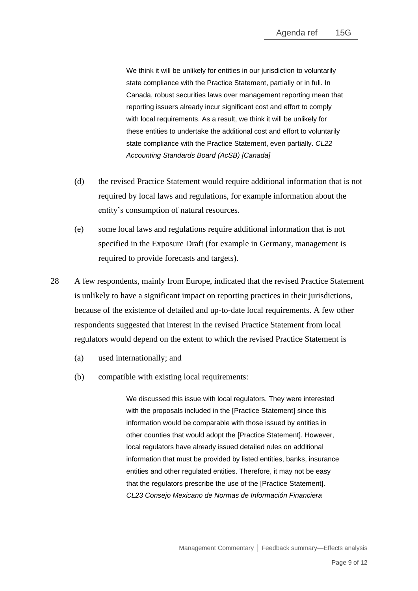We think it will be unlikely for entities in our jurisdiction to voluntarily state compliance with the Practice Statement, partially or in full. In Canada, robust securities laws over management reporting mean that reporting issuers already incur significant cost and effort to comply with local requirements. As a result, we think it will be unlikely for these entities to undertake the additional cost and effort to voluntarily state compliance with the Practice Statement, even partially. *CL22 Accounting Standards Board (AcSB) [Canada]*

- (d) the revised Practice Statement would require additional information that is not required by local laws and regulations, for example information about the entity's consumption of natural resources.
- (e) some local laws and regulations require additional information that is not specified in the Exposure Draft (for example in Germany, management is required to provide forecasts and targets).
- 28 A few respondents, mainly from Europe, indicated that the revised Practice Statement is unlikely to have a significant impact on reporting practices in their jurisdictions, because of the existence of detailed and up-to-date local requirements. A few other respondents suggested that interest in the revised Practice Statement from local regulators would depend on the extent to which the revised Practice Statement is
	- (a) used internationally; and
	- (b) compatible with existing local requirements:

We discussed this issue with local regulators. They were interested with the proposals included in the [Practice Statement] since this information would be comparable with those issued by entities in other counties that would adopt the [Practice Statement]. However, local regulators have already issued detailed rules on additional information that must be provided by listed entities, banks, insurance entities and other regulated entities. Therefore, it may not be easy that the regulators prescribe the use of the [Practice Statement]. *CL23 Consejo Mexicano de Normas de Información Financiera*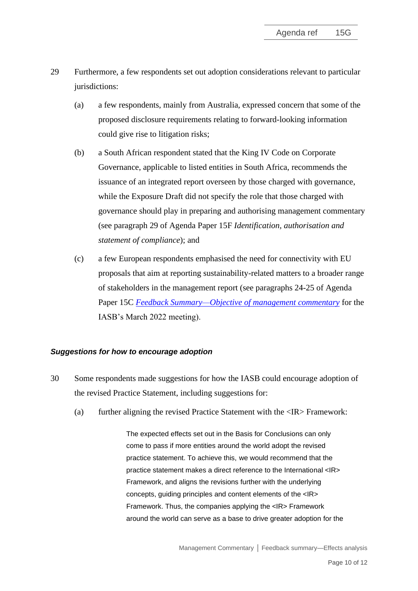- 29 Furthermore, a few respondents set out adoption considerations relevant to particular jurisdictions:
	- (a) a few respondents, mainly from Australia, expressed concern that some of the proposed disclosure requirements relating to forward-looking information could give rise to litigation risks;
	- (b) a South African respondent stated that the King IV Code on Corporate Governance, applicable to listed entities in South Africa, recommends the issuance of an integrated report overseen by those charged with governance, while the Exposure Draft did not specify the role that those charged with governance should play in preparing and authorising management commentary (see paragraph 29 of Agenda Paper 15F *Identification, authorisation and statement of compliance*); and
	- (c) a few European respondents emphasised the need for connectivity with EU proposals that aim at reporting sustainability-related matters to a broader range of stakeholders in the management report (see paragraphs 24-25 of Agenda Paper 15C *[Feedback Summary—Objective of management commentary](https://www.ifrs.org/content/dam/ifrs/meetings/2022/march/iasb/ap15c-objective-of-management-commentary.pdf)* for the IASB's March 2022 meeting).

## *Suggestions for how to encourage adoption*

- 30 Some respondents made suggestions for how the IASB could encourage adoption of the revised Practice Statement, including suggestions for:
	- (a) further aligning the revised Practice Statement with the <IR> Framework:

The expected effects set out in the Basis for Conclusions can only come to pass if more entities around the world adopt the revised practice statement. To achieve this, we would recommend that the practice statement makes a direct reference to the International <IR> Framework, and aligns the revisions further with the underlying concepts, guiding principles and content elements of the <IR> Framework. Thus, the companies applying the <IR> Framework around the world can serve as a base to drive greater adoption for the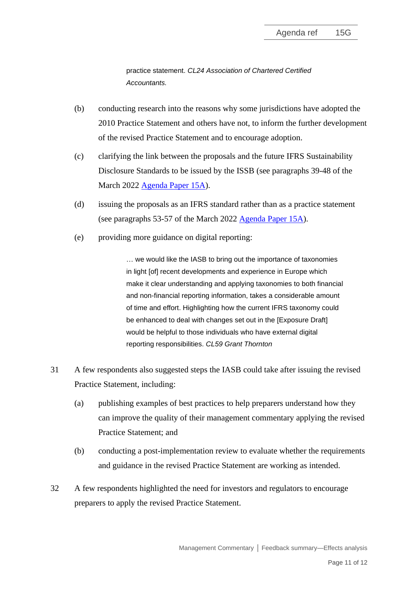practice statement. *CL24 Association of Chartered Certified Accountants.*

- (b) conducting research into the reasons why some jurisdictions have adopted the 2010 Practice Statement and others have not, to inform the further development of the revised Practice Statement and to encourage adoption.
- (c) clarifying the link between the proposals and the future IFRS Sustainability Disclosure Standards to be issued by the ISSB (see paragraphs 39-48 of the March 2022 [Agenda Paper 15A\)](https://www.ifrs.org/content/dam/ifrs/meetings/2022/march/iasb/ap15a-feedback-summary-project-direction.pdf).
- (d) issuing the proposals as an IFRS standard rather than as a practice statement (see paragraphs 53-57 of the March 2022 [Agenda Paper 15A\)](https://www.ifrs.org/content/dam/ifrs/meetings/2022/march/iasb/ap15a-feedback-summary-project-direction.pdf).
- (e) providing more guidance on digital reporting:

… we would like the IASB to bring out the importance of taxonomies in light [of] recent developments and experience in Europe which make it clear understanding and applying taxonomies to both financial and non-financial reporting information, takes a considerable amount of time and effort. Highlighting how the current IFRS taxonomy could be enhanced to deal with changes set out in the [Exposure Draft] would be helpful to those individuals who have external digital reporting responsibilities. *CL59 Grant Thornton*

- 31 A few respondents also suggested steps the IASB could take after issuing the revised Practice Statement, including:
	- (a) publishing examples of best practices to help preparers understand how they can improve the quality of their management commentary applying the revised Practice Statement; and
	- (b) conducting a post-implementation review to evaluate whether the requirements and guidance in the revised Practice Statement are working as intended.
- 32 A few respondents highlighted the need for investors and regulators to encourage preparers to apply the revised Practice Statement.